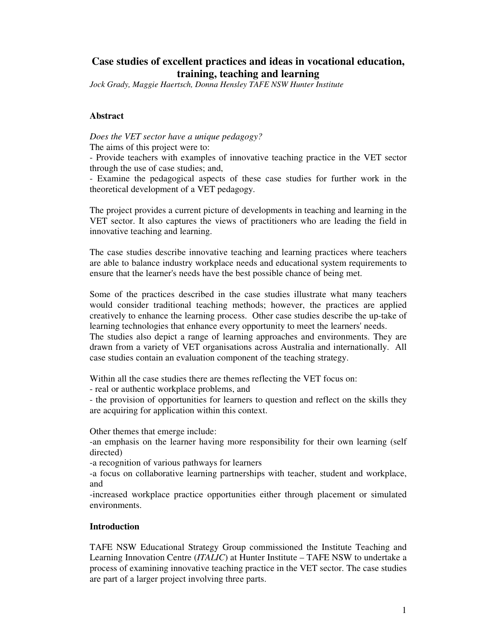# **Case studies of excellent practices and ideas in vocational education, training, teaching and learning**

*Jock Grady, Maggie Haertsch, Donna Hensley TAFE NSW Hunter Institute*

## **Abstract**

*Does the VET sector have a unique pedagogy?* The aims of this project were to:

- Provide teachers with examples of innovative teaching practice in the VET sector through the use of case studies; and,

- Examine the pedagogical aspects of these case studies for further work in the theoretical development of a VET pedagogy.

The project provides a current picture of developments in teaching and learning in the VET sector. It also captures the views of practitioners who are leading the field in innovative teaching and learning.

The case studies describe innovative teaching and learning practices where teachers are able to balance industry workplace needs and educational system requirements to ensure that the learner's needs have the best possible chance of being met.

Some of the practices described in the case studies illustrate what many teachers would consider traditional teaching methods; however, the practices are applied creatively to enhance the learning process. Other case studies describe the up-take of learning technologies that enhance every opportunity to meet the learners' needs.

The studies also depict a range of learning approaches and environments. They are drawn from a variety of VET organisations across Australia and internationally. All case studies contain an evaluation component of the teaching strategy.

Within all the case studies there are themes reflecting the VET focus on:

- real or authentic workplace problems, and

- the provision of opportunities for learners to question and reflect on the skills they are acquiring for application within this context.

Other themes that emerge include:

-an emphasis on the learner having more responsibility for their own learning (self directed)

-a recognition of various pathways for learners

-a focus on collaborative learning partnerships with teacher, student and workplace, and

-increased workplace practice opportunities either through placement or simulated environments.

### **Introduction**

TAFE NSW Educational Strategy Group commissioned the Institute Teaching and Learning Innovation Centre (*ITALIC*) at Hunter Institute – TAFE NSW to undertake a process of examining innovative teaching practice in the VET sector. The case studies are part of a larger project involving three parts.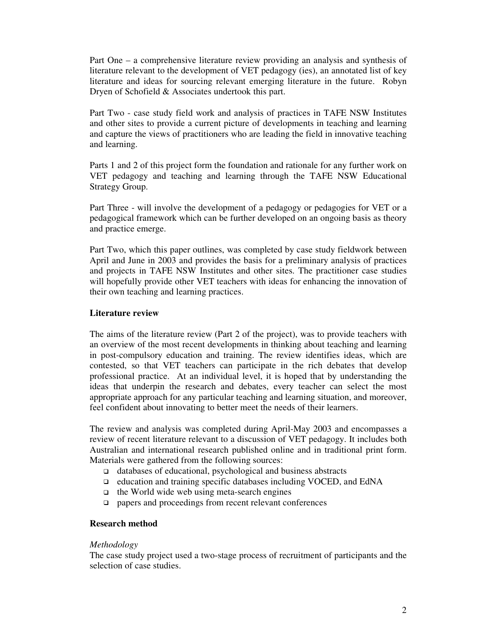Part One – a comprehensive literature review providing an analysis and synthesis of literature relevant to the development of VET pedagogy (ies), an annotated list of key literature and ideas for sourcing relevant emerging literature in the future. Robyn Dryen of Schofield & Associates undertook this part.

Part Two - case study field work and analysis of practices in TAFE NSW Institutes and other sites to provide a current picture of developments in teaching and learning and capture the views of practitioners who are leading the field in innovative teaching and learning.

Parts 1 and 2 of this project form the foundation and rationale for any further work on VET pedagogy and teaching and learning through the TAFE NSW Educational Strategy Group.

Part Three - will involve the development of a pedagogy or pedagogies for VET or a pedagogical framework which can be further developed on an ongoing basis as theory and practice emerge.

Part Two, which this paper outlines, was completed by case study fieldwork between April and June in 2003 and provides the basis for a preliminary analysis of practices and projects in TAFE NSW Institutes and other sites. The practitioner case studies will hopefully provide other VET teachers with ideas for enhancing the innovation of their own teaching and learning practices.

#### **Literature review**

The aims of the literature review (Part 2 of the project), was to provide teachers with an overview of the most recent developments in thinking about teaching and learning in post-compulsory education and training. The review identifies ideas, which are contested, so that VET teachers can participate in the rich debates that develop professional practice. At an individual level, it is hoped that by understanding the ideas that underpin the research and debates, every teacher can select the most appropriate approach for any particular teaching and learning situation, and moreover, feel confident about innovating to better meet the needs of their learners.

The review and analysis was completed during April-May 2003 and encompasses a review of recent literature relevant to a discussion of VET pedagogy. It includes both Australian and international research published online and in traditional print form. Materials were gathered from the following sources:

- $\Box$  databases of educational, psychological and business abstracts
- education and training specific databases including VOCED, and EdNA
- $\Box$  the World wide web using meta-search engines
- papers and proceedings from recent relevant conferences

## **Research method**

#### *Methodology*

The case study project used a two-stage process of recruitment of participants and the selection of case studies.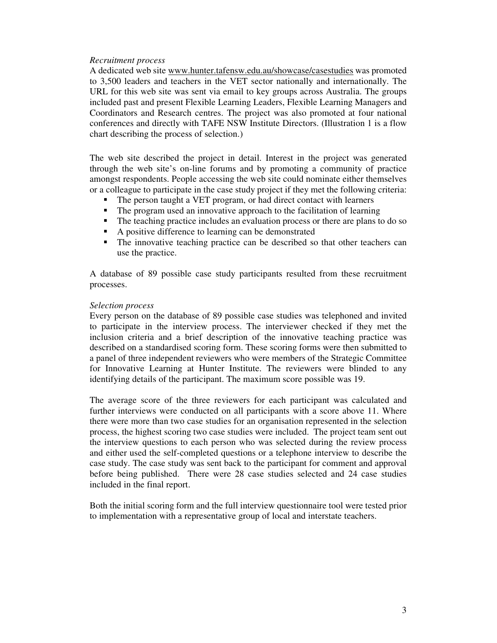#### *Recruitment process*

A dedicated web site www.hunter.tafensw.edu.au/showcase/casestudies was promoted to 3,500 leaders and teachers in the VET sector nationally and internationally. The URL for this web site was sent via email to key groups across Australia. The groups included past and present Flexible Learning Leaders, Flexible Learning Managers and Coordinators and Research centres. The project was also promoted at four national conferences and directly with TAFE NSW Institute Directors. (Illustration 1 is a flow chart describing the process of selection.)

The web site described the project in detail. Interest in the project was generated through the web site's on-line forums and by promoting a community of practice amongst respondents. People accessing the web site could nominate either themselves or a colleague to participate in the case study project if they met the following criteria:

- The person taught a VET program, or had direct contact with learners<br>The program used an innovative approach to the facilitation of learnin
- The program used an innovative approach to the facilitation of learning
- The teaching practice includes an evaluation process or there are plans to do so
- A positive difference to learning can be demonstrated
- The innovative teaching practice can be described so that other teachers can use the practice.

A database of 89 possible case study participants resulted from these recruitment processes.

### *Selection process*

Every person on the database of 89 possible case studies was telephoned and invited to participate in the interview process. The interviewer checked if they met the inclusion criteria and a brief description of the innovative teaching practice was described on a standardised scoring form. These scoring forms were then submitted to a panel of three independent reviewers who were members of the Strategic Committee for Innovative Learning at Hunter Institute. The reviewers were blinded to any identifying details of the participant. The maximum score possible was 19.

The average score of the three reviewers for each participant was calculated and further interviews were conducted on all participants with a score above 11. Where there were more than two case studies for an organisation represented in the selection process, the highest scoring two case studies were included. The project team sent out the interview questions to each person who was selected during the review process and either used the self-completed questions or a telephone interview to describe the case study. The case study was sent back to the participant for comment and approval before being published. There were 28 case studies selected and 24 case studies included in the final report.

Both the initial scoring form and the full interview questionnaire tool were tested prior to implementation with a representative group of local and interstate teachers.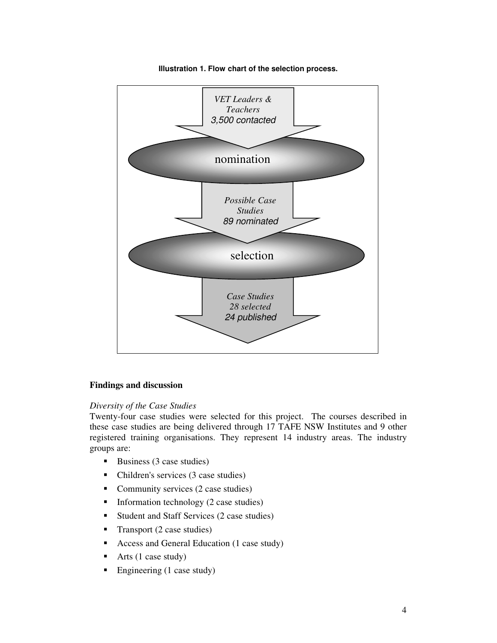

**Illustration 1. Flow chart of the selection process.**

### **Findings and discussion**

#### *Diversity of the Case Studies*

Twenty-four case studies were selected for this project. The courses described in these case studies are being delivered through 17 TAFE NSW Institutes and 9 other registered training organisations. They represent 14 industry areas. The industry groups are:

- $\blacksquare$  Business (3 case studies)
- Children's services (3 case studies)
- Community services (2 case studies)
- $\blacksquare$  Information technology (2 case studies)
- Student and Staff Services (2 case studies)
- Transport  $(2 \text{ case studies})$
- Access and General Education (1 case study)
- Arts  $(1 \text{ case study})$
- Engineering (1 case study)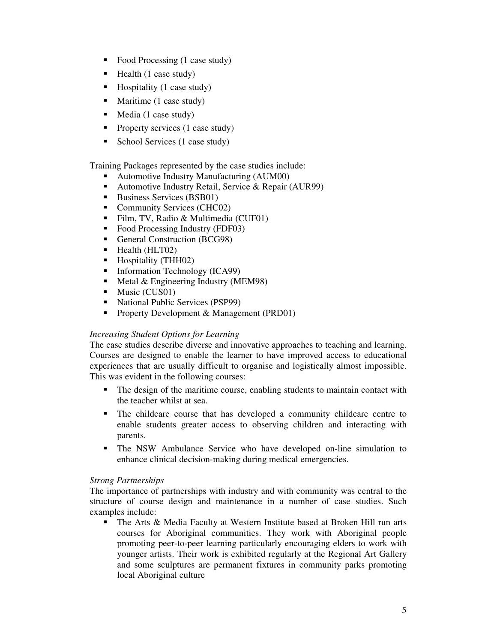- Food Processing (1 case study)
- $\blacksquare$  Health (1 case study)
- $\blacksquare$  Hospitality (1 case study)
- Maritime (1 case study)
- Media (1 case study)
- Property services  $(1 \text{ case study})$
- School Services (1 case study)

Training Packages represented by the case studies include:

- Automotive Industry Manufacturing (AUM00)
- Automotive Industry Retail, Service & Repair (AUR99)
- Business Services (BSB01)
- Community Services (CHC02)
- Film, TV, Radio & Multimedia (CUF01)
- Food Processing Industry (FDF03)
- General Construction (BCG98)
- Health (HLT02)
- Hospitality (THH02)<br>• Information Technolo
- Information Technology (ICA99)
- Metal & Engineering Industry (MEM98)
- $\blacksquare$  Music (CUS01)
- National Public Services (PSP99)
- **Property Development & Management (PRD01)**

## *Increasing Student Options for Learning*

The case studies describe diverse and innovative approaches to teaching and learning. Courses are designed to enable the learner to have improved access to educational experiences that are usually difficult to organise and logistically almost impossible. This was evident in the following courses:

- The design of the maritime course, enabling students to maintain contact with the teacher whilst at sea.
- The childcare course that has developed a community childcare centre to enable students greater access to observing children and interacting with parents.
- The NSW Ambulance Service who have developed on-line simulation to enhance clinical decision-making during medical emergencies.

## *Strong Partnerships*

The importance of partnerships with industry and with community was central to the structure of course design and maintenance in a number of case studies. Such examples include:

 The Arts & Media Faculty at Western Institute based at Broken Hill run arts courses for Aboriginal communities. They work with Aboriginal people promoting peer-to-peer learning particularly encouraging elders to work with younger artists. Their work is exhibited regularly at the Regional Art Gallery and some sculptures are permanent fixtures in community parks promoting local Aboriginal culture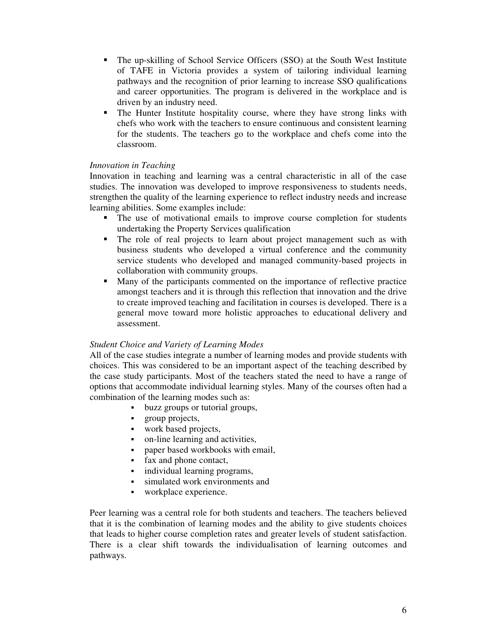- The up-skilling of School Service Officers (SSO) at the South West Institute of TAFE in Victoria provides a system of tailoring individual learning pathways and the recognition of prior learning to increase SSO qualifications and career opportunities. The program is delivered in the workplace and is driven by an industry need.
- The Hunter Institute hospitality course, where they have strong links with chefs who work with the teachers to ensure continuous and consistent learning for the students. The teachers go to the workplace and chefs come into the classroom.

## *Innovation in Teaching*

Innovation in teaching and learning was a central characteristic in all of the case studies. The innovation was developed to improve responsiveness to students needs, strengthen the quality of the learning experience to reflect industry needs and increase learning abilities. Some examples include:

- The use of motivational emails to improve course completion for students undertaking the Property Services qualification
- The role of real projects to learn about project management such as with business students who developed a virtual conference and the community service students who developed and managed community-based projects in collaboration with community groups.
- Many of the participants commented on the importance of reflective practice amongst teachers and it is through this reflection that innovation and the drive to create improved teaching and facilitation in courses is developed. There is a general move toward more holistic approaches to educational delivery and assessment.

## *Student Choice and Variety of Learning Modes*

All of the case studies integrate a number of learning modes and provide students with choices. This was considered to be an important aspect of the teaching described by the case study participants. Most of the teachers stated the need to have a range of options that accommodate individual learning styles. Many of the courses often had a combination of the learning modes such as:

- **buzz groups or tutorial groups,**
- **group projects,**
- work based projects,
- on-line learning and activities,
- paper based workbooks with email,
- fax and phone contact,
- individual learning programs,
- simulated work environments and
- workplace experience.

Peer learning was a central role for both students and teachers. The teachers believed that it is the combination of learning modes and the ability to give students choices that leads to higher course completion rates and greater levels of student satisfaction. There is a clear shift towards the individualisation of learning outcomes and pathways.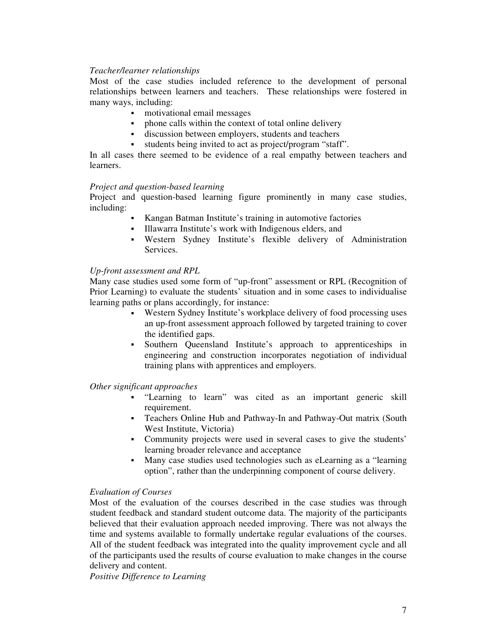### *Teacher/learner relationships*

Most of the case studies included reference to the development of personal relationships between learners and teachers. These relationships were fostered in many ways, including:

- motivational email messages
- phone calls within the context of total online delivery
- discussion between employers, students and teachers
- students being invited to act as project/program "staff".

In all cases there seemed to be evidence of a real empathy between teachers and learners.

### *Project and question-based learning*

Project and question-based learning figure prominently in many case studies, including:

- Kangan Batman Institute's training in automotive factories
- Illawarra Institute's work with Indigenous elders, and
- Western Sydney Institute's flexible delivery of Administration Services.

### *Up-front assessment and RPL*

Many case studies used some form of "up-front" assessment or RPL (Recognition of Prior Learning) to evaluate the students' situation and in some cases to individualise learning paths or plans accordingly, for instance:

- Western Sydney Institute's workplace delivery of food processing uses an up-front assessment approach followed by targeted training to cover the identified gaps.
- Southern Queensland Institute's approach to apprenticeships in engineering and construction incorporates negotiation of individual training plans with apprentices and employers.

### *Other significant approaches*

- "Learning to learn" was cited as an important generic skill requirement.
- Teachers Online Hub and Pathway-In and Pathway-Out matrix (South West Institute, Victoria)
- Community projects were used in several cases to give the students' learning broader relevance and acceptance
- Many case studies used technologies such as eLearning as a "learning option", rather than the underpinning component of course delivery.

### *Evaluation of Courses*

Most of the evaluation of the courses described in the case studies was through student feedback and standard student outcome data. The majority of the participants believed that their evaluation approach needed improving. There was not always the time and systems available to formally undertake regular evaluations of the courses. All of the student feedback was integrated into the quality improvement cycle and all of the participants used the results of course evaluation to make changes in the course delivery and content.

*Positive Difference to Learning*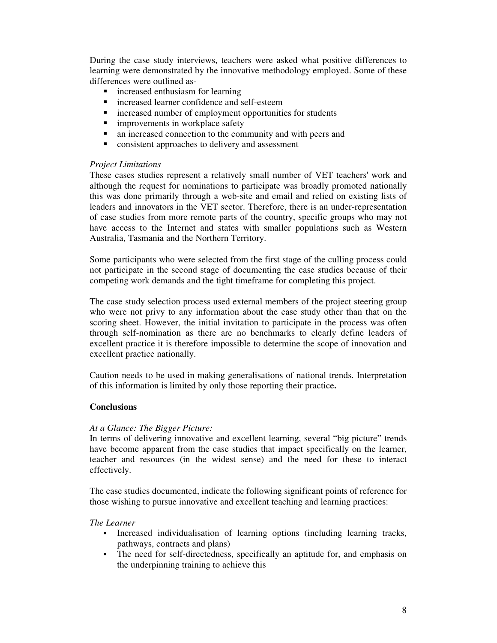During the case study interviews, teachers were asked what positive differences to learning were demonstrated by the innovative methodology employed. Some of these differences were outlined as-

- **n** increased enthusiasm for learning
- **n** increased learner confidence and self-esteem
- increased number of employment opportunities for students
- improvements in workplace safety<br>• an increased connection to the com
- an increased connection to the community and with peers and
- **•** consistent approaches to delivery and assessment

#### *Project Limitations*

These cases studies represent a relatively small number of VET teachers' work and although the request for nominations to participate was broadly promoted nationally this was done primarily through a web-site and email and relied on existing lists of leaders and innovators in the VET sector. Therefore, there is an under-representation of case studies from more remote parts of the country, specific groups who may not have access to the Internet and states with smaller populations such as Western Australia, Tasmania and the Northern Territory.

Some participants who were selected from the first stage of the culling process could not participate in the second stage of documenting the case studies because of their competing work demands and the tight timeframe for completing this project.

The case study selection process used external members of the project steering group who were not privy to any information about the case study other than that on the scoring sheet. However, the initial invitation to participate in the process was often through self-nomination as there are no benchmarks to clearly define leaders of excellent practice it is therefore impossible to determine the scope of innovation and excellent practice nationally.

Caution needs to be used in making generalisations of national trends. Interpretation of this information is limited by only those reporting their practice**.**

#### **Conclusions**

#### *At a Glance: The Bigger Picture:*

In terms of delivering innovative and excellent learning, several "big picture" trends have become apparent from the case studies that impact specifically on the learner, teacher and resources (in the widest sense) and the need for these to interact effectively.

The case studies documented, indicate the following significant points of reference for those wishing to pursue innovative and excellent teaching and learning practices:

#### *The Learner*

- Increased individualisation of learning options (including learning tracks, pathways, contracts and plans)
- The need for self-directedness, specifically an aptitude for, and emphasis on the underpinning training to achieve this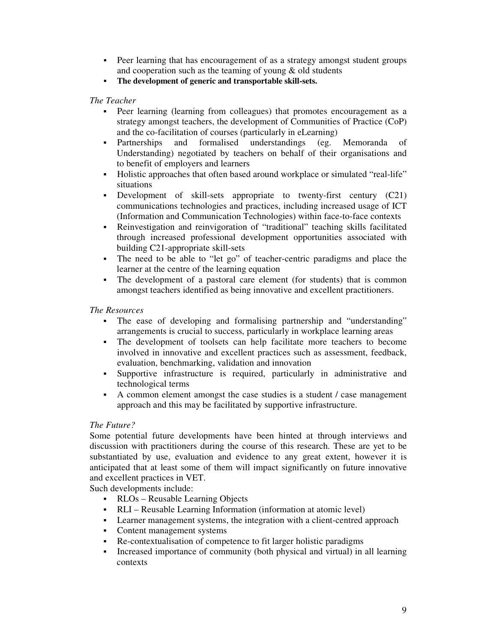- Peer learning that has encouragement of as a strategy amongst student groups and cooperation such as the teaming of young & old students
- **The development of generic and transportable skill-sets.**

*The Teacher*

- Peer learning (learning from colleagues) that promotes encouragement as a strategy amongst teachers, the development of Communities of Practice (CoP) and the co-facilitation of courses (particularly in eLearning)
- Partnerships and formalised understandings (eg. Memoranda of Understanding) negotiated by teachers on behalf of their organisations and to benefit of employers and learners
- Holistic approaches that often based around workplace or simulated "real-life" situations
- Development of skill-sets appropriate to twenty-first century (C21) communications technologies and practices, including increased usage of ICT (Information and Communication Technologies) within face-to-face contexts
- Reinvestigation and reinvigoration of "traditional" teaching skills facilitated through increased professional development opportunities associated with building C21-appropriate skill-sets
- The need to be able to "let go" of teacher-centric paradigms and place the learner at the centre of the learning equation
- The development of a pastoral care element (for students) that is common amongst teachers identified as being innovative and excellent practitioners.

*The Resources*

- The ease of developing and formalising partnership and "understanding" arrangements is crucial to success, particularly in workplace learning areas
- The development of toolsets can help facilitate more teachers to become involved in innovative and excellent practices such as assessment, feedback, evaluation, benchmarking, validation and innovation
- Supportive infrastructure is required, particularly in administrative and technological terms
- A common element amongst the case studies is a student / case management approach and this may be facilitated by supportive infrastructure.

## *The Future?*

Some potential future developments have been hinted at through interviews and discussion with practitioners during the course of this research. These are yet to be substantiated by use, evaluation and evidence to any great extent, however it is anticipated that at least some of them will impact significantly on future innovative and excellent practices in VET.

Such developments include:

- RLOs Reusable Learning Objects
- RLI Reusable Learning Information (information at atomic level)
- Learner management systems, the integration with a client-centred approach
- Content management systems
- Re-contextualisation of competence to fit larger holistic paradigms
- Increased importance of community (both physical and virtual) in all learning contexts